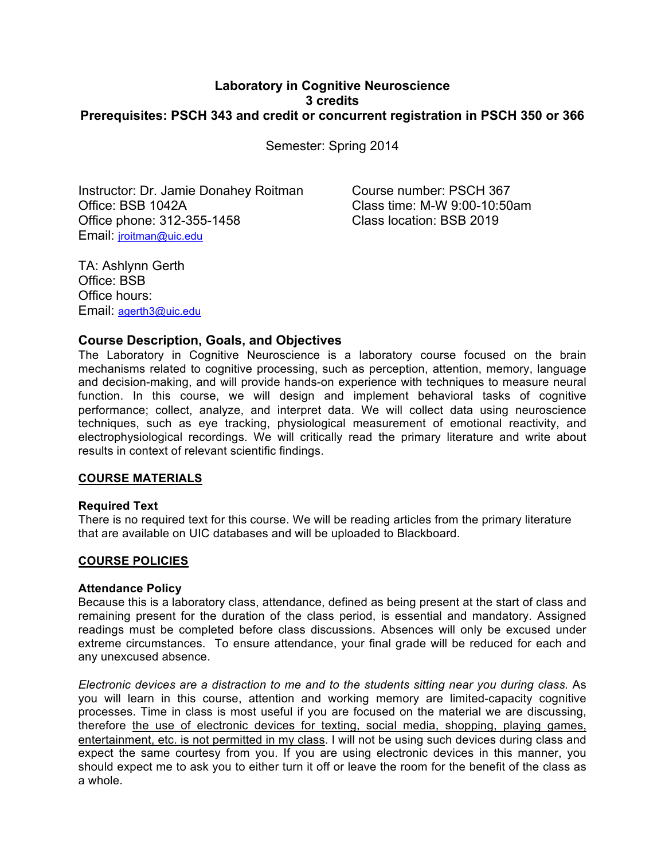# **Laboratory in Cognitive Neuroscience 3 credits Prerequisites: PSCH 343 and credit or concurrent registration in PSCH 350 or 366**

Semester: Spring 2014

Instructor: Dr. Jamie Donahey Roitman Course number: PSCH 367 Office: BSB 1042A Class time: M-W 9:00-10:50am Office phone: 312-355-1458 Class location: BSB 2019 Email: jroitman@uic.edu

TA: Ashlynn Gerth Office: BSB Office hours: Email: agerth3@uic.edu

# **Course Description, Goals, and Objectives**

The Laboratory in Cognitive Neuroscience is a laboratory course focused on the brain mechanisms related to cognitive processing, such as perception, attention, memory, language and decision-making, and will provide hands-on experience with techniques to measure neural function. In this course, we will design and implement behavioral tasks of cognitive performance; collect, analyze, and interpret data. We will collect data using neuroscience techniques, such as eye tracking, physiological measurement of emotional reactivity, and electrophysiological recordings. We will critically read the primary literature and write about results in context of relevant scientific findings.

## **COURSE MATERIALS**

#### **Required Text**

There is no required text for this course. We will be reading articles from the primary literature that are available on UIC databases and will be uploaded to Blackboard.

## **COURSE POLICIES**

#### **Attendance Policy**

Because this is a laboratory class, attendance, defined as being present at the start of class and remaining present for the duration of the class period, is essential and mandatory. Assigned readings must be completed before class discussions. Absences will only be excused under extreme circumstances. To ensure attendance, your final grade will be reduced for each and any unexcused absence.

*Electronic devices are a distraction to me and to the students sitting near you during class.* As you will learn in this course, attention and working memory are limited-capacity cognitive processes. Time in class is most useful if you are focused on the material we are discussing, therefore the use of electronic devices for texting, social media, shopping, playing games, entertainment, etc. is not permitted in my class. I will not be using such devices during class and expect the same courtesy from you. If you are using electronic devices in this manner, you should expect me to ask you to either turn it off or leave the room for the benefit of the class as a whole.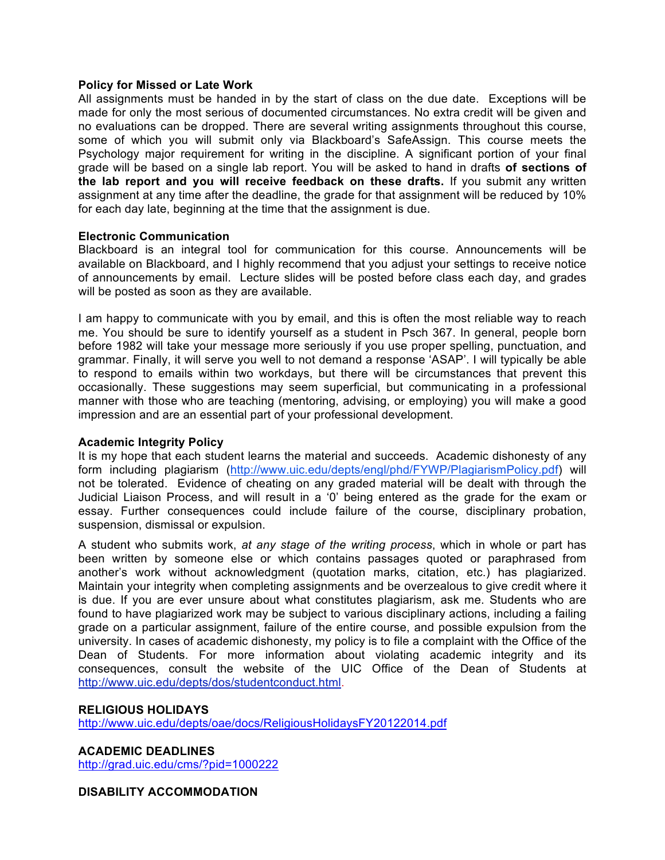#### **Policy for Missed or Late Work**

All assignments must be handed in by the start of class on the due date. Exceptions will be made for only the most serious of documented circumstances. No extra credit will be given and no evaluations can be dropped. There are several writing assignments throughout this course, some of which you will submit only via Blackboard's SafeAssign. This course meets the Psychology major requirement for writing in the discipline. A significant portion of your final grade will be based on a single lab report. You will be asked to hand in drafts **of sections of the lab report and you will receive feedback on these drafts.** If you submit any written assignment at any time after the deadline, the grade for that assignment will be reduced by 10% for each day late, beginning at the time that the assignment is due.

#### **Electronic Communication**

Blackboard is an integral tool for communication for this course. Announcements will be available on Blackboard, and I highly recommend that you adjust your settings to receive notice of announcements by email. Lecture slides will be posted before class each day, and grades will be posted as soon as they are available.

I am happy to communicate with you by email, and this is often the most reliable way to reach me. You should be sure to identify yourself as a student in Psch 367. In general, people born before 1982 will take your message more seriously if you use proper spelling, punctuation, and grammar. Finally, it will serve you well to not demand a response 'ASAP'. I will typically be able to respond to emails within two workdays, but there will be circumstances that prevent this occasionally. These suggestions may seem superficial, but communicating in a professional manner with those who are teaching (mentoring, advising, or employing) you will make a good impression and are an essential part of your professional development.

#### **Academic Integrity Policy**

It is my hope that each student learns the material and succeeds. Academic dishonesty of any form including plagiarism (http://www.uic.edu/depts/engl/phd/FYWP/PlagiarismPolicy.pdf) will not be tolerated. Evidence of cheating on any graded material will be dealt with through the Judicial Liaison Process, and will result in a '0' being entered as the grade for the exam or essay. Further consequences could include failure of the course, disciplinary probation, suspension, dismissal or expulsion.

A student who submits work, *at any stage of the writing process*, which in whole or part has been written by someone else or which contains passages quoted or paraphrased from another's work without acknowledgment (quotation marks, citation, etc.) has plagiarized. Maintain your integrity when completing assignments and be overzealous to give credit where it is due. If you are ever unsure about what constitutes plagiarism, ask me. Students who are found to have plagiarized work may be subject to various disciplinary actions, including a failing grade on a particular assignment, failure of the entire course, and possible expulsion from the university. In cases of academic dishonesty, my policy is to file a complaint with the Office of the Dean of Students. For more information about violating academic integrity and its consequences, consult the website of the UIC Office of the Dean of Students at http://www.uic.edu/depts/dos/studentconduct.html.

#### **RELIGIOUS HOLIDAYS**

http://www.uic.edu/depts/oae/docs/ReligiousHolidaysFY20122014.pdf

#### **ACADEMIC DEADLINES**

http://grad.uic.edu/cms/?pid=1000222

**DISABILITY ACCOMMODATION**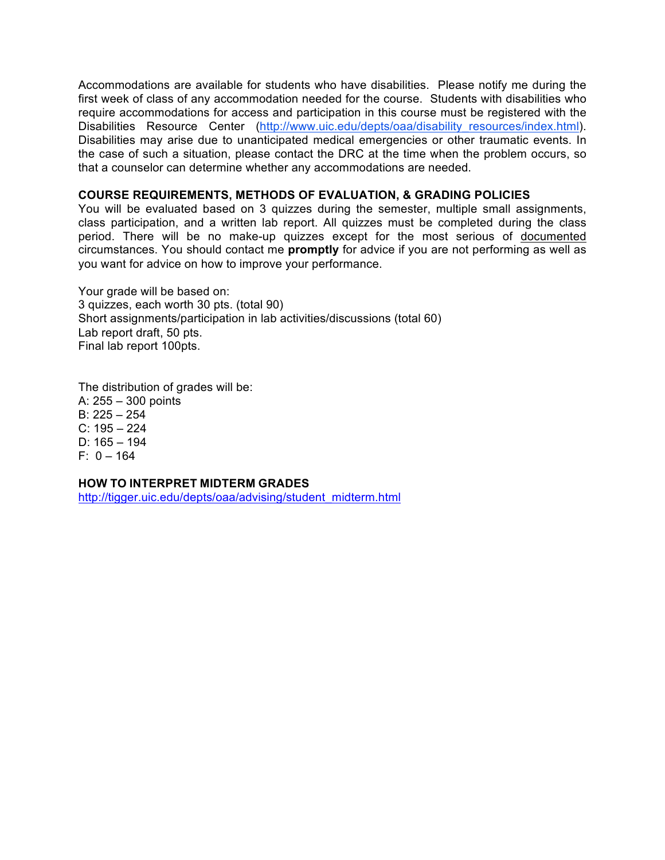Accommodations are available for students who have disabilities. Please notify me during the first week of class of any accommodation needed for the course. Students with disabilities who require accommodations for access and participation in this course must be registered with the Disabilities Resource Center (http://www.uic.edu/depts/oaa/disability\_resources/index.html). Disabilities may arise due to unanticipated medical emergencies or other traumatic events. In the case of such a situation, please contact the DRC at the time when the problem occurs, so that a counselor can determine whether any accommodations are needed.

#### **COURSE REQUIREMENTS, METHODS OF EVALUATION, & GRADING POLICIES**

You will be evaluated based on 3 quizzes during the semester, multiple small assignments, class participation, and a written lab report. All quizzes must be completed during the class period. There will be no make-up quizzes except for the most serious of documented circumstances. You should contact me **promptly** for advice if you are not performing as well as you want for advice on how to improve your performance.

Your grade will be based on: 3 quizzes, each worth 30 pts. (total 90) Short assignments/participation in lab activities/discussions (total 60) Lab report draft, 50 pts. Final lab report 100pts.

The distribution of grades will be: A: 255 – 300 points B: 225 – 254 C: 195 – 224 D:  $165 - 194$  $F: 0 - 164$ 

# **HOW TO INTERPRET MIDTERM GRADES**

http://tigger.uic.edu/depts/oaa/advising/student\_midterm.html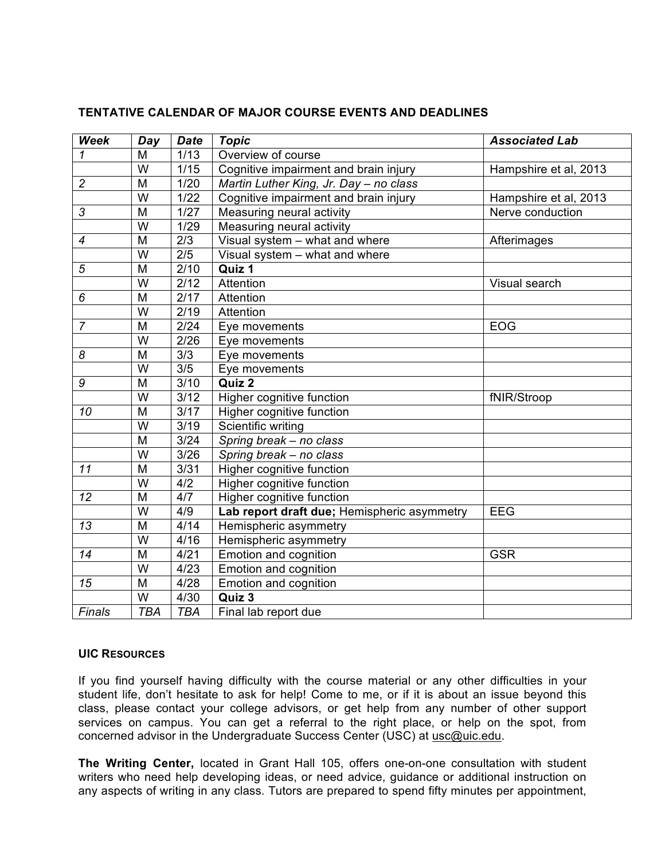| Week           | Day                     | <b>Date</b>       | <b>Topic</b>                                | <b>Associated Lab</b> |
|----------------|-------------------------|-------------------|---------------------------------------------|-----------------------|
| 1              | M                       | $1/13$            | Overview of course                          |                       |
|                | $\overline{\mathsf{W}}$ | $1/15$            | Cognitive impairment and brain injury       | Hampshire et al, 2013 |
| $\overline{2}$ | M                       | 1/20              | Martin Luther King, Jr. Day - no class      |                       |
|                | W                       | 1/22              | Cognitive impairment and brain injury       | Hampshire et al, 2013 |
| 3              | M                       | $1/27$            | Measuring neural activity                   | Nerve conduction      |
|                | W                       | 1/29              | Measuring neural activity                   |                       |
| $\overline{4}$ | M                       | 2/3               | Visual system - what and where              | Afterimages           |
|                | W                       | 2/5               | Visual system - what and where              |                       |
| 5              | M                       | 2/10              | Quiz 1                                      |                       |
|                | $\overline{W}$          | 2/12              | <b>Attention</b>                            | <b>Visual search</b>  |
| 6              | M                       | 2/17              | Attention                                   |                       |
|                | W                       | 2/19              | Attention                                   |                       |
| $\overline{7}$ | M                       | $\overline{2/24}$ | Eye movements                               | <b>EOG</b>            |
|                | W                       | 2/26              | Eye movements                               |                       |
| 8              | M                       | 3/3               | Eye movements                               |                       |
|                | $\overline{W}$          | $\overline{3/5}$  | Eye movements                               |                       |
| 9              | M                       | $\overline{3/10}$ | Quiz 2                                      |                       |
|                | $\overline{\mathsf{W}}$ | $\overline{3}/12$ | Higher cognitive function                   | fNIR/Stroop           |
| 10             | M                       | 3/17              | Higher cognitive function                   |                       |
|                | W                       | 3/19              | Scientific writing                          |                       |
|                | M                       | 3/24              | Spring break - no class                     |                       |
|                | W                       | 3/26              | Spring break - no class                     |                       |
| 11             | M                       | 3/31              | Higher cognitive function                   |                       |
|                | W                       | 4/2               | <b>Higher cognitive function</b>            |                       |
| 12             | M                       | 4/7               | Higher cognitive function                   |                       |
|                | W                       | 4/9               | Lab report draft due; Hemispheric asymmetry | <b>EEG</b>            |
| 13             | M                       | 4/14              | Hemispheric asymmetry                       |                       |
|                | $\overline{W}$          | 4/16              | Hemispheric asymmetry                       |                       |
| 14             | $\overline{M}$          | 4/21              | Emotion and cognition                       | <b>GSR</b>            |
|                | W                       | 4/23              | Emotion and cognition                       |                       |
| 15             | M                       | 4/28              | Emotion and cognition                       |                       |
|                | $\overline{W}$          | 4/30              | Quiz 3                                      |                       |
| Finals         | <b>TBA</b>              | <b>TBA</b>        | Final lab report due                        |                       |

# **TENTATIVE CALENDAR OF MAJOR COURSE EVENTS AND DEADLINES**

#### **UIC RESOURCES**

If you find yourself having difficulty with the course material or any other difficulties in your student life, don't hesitate to ask for help! Come to me, or if it is about an issue beyond this class, please contact your college advisors, or get help from any number of other support services on campus. You can get a referral to the right place, or help on the spot, from concerned advisor in the Undergraduate Success Center (USC) at usc@uic.edu.

**The Writing Center,** located in Grant Hall 105, offers one-on-one consultation with student writers who need help developing ideas, or need advice, guidance or additional instruction on any aspects of writing in any class. Tutors are prepared to spend fifty minutes per appointment,